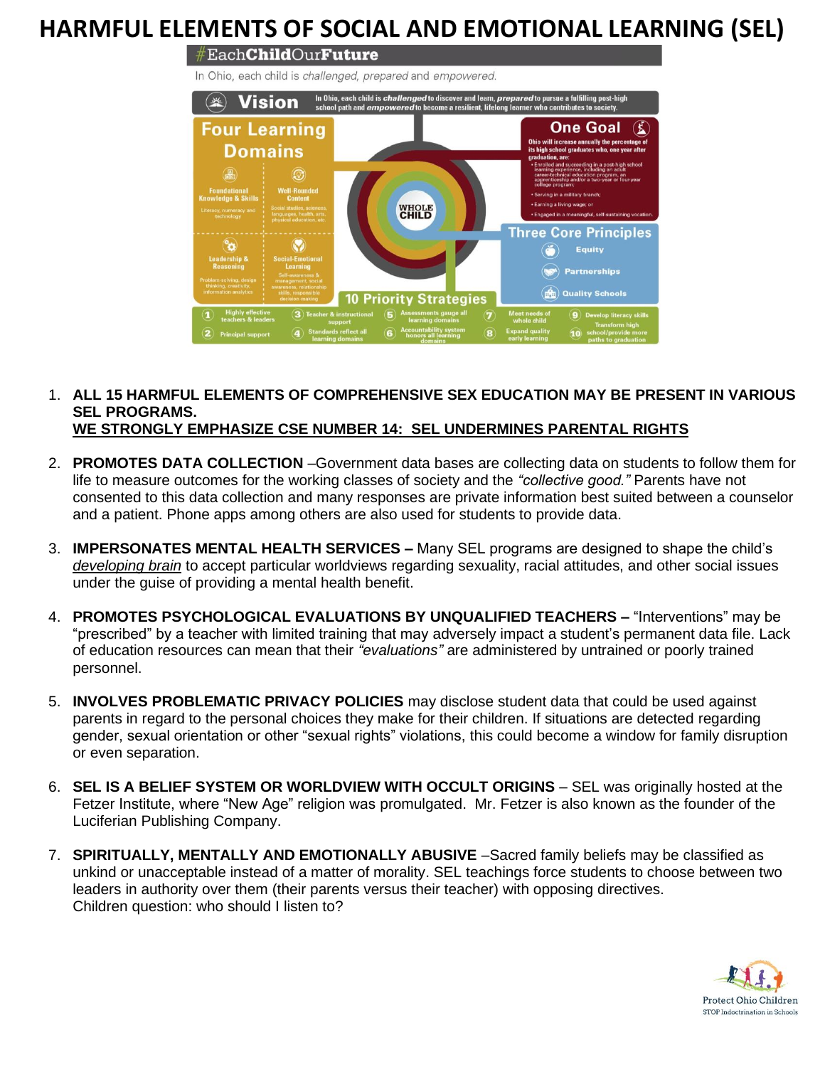## **HARMFUL ELEMENTS OF SOCIAL AND EMOTIONAL LEARNING (SEL)**

 $\#$ Each**Child**Our**Future** 

In Ohio, each child is challenged, prepared and empowered.



## 1. **ALL 15 HARMFUL ELEMENTS OF COMPREHENSIVE SEX EDUCATION MAY BE PRESENT IN VARIOUS SEL PROGRAMS. WE STRONGLY EMPHASIZE CSE NUMBER 14: SEL UNDERMINES PARENTAL RIGHTS**

- 2. **PROMOTES DATA COLLECTION** –Government data bases are collecting data on students to follow them for life to measure outcomes for the working classes of society and the *"collective good."* Parents have not consented to this data collection and many responses are private information best suited between a counselor and a patient. Phone apps among others are also used for students to provide data.
- 3. **IMPERSONATES MENTAL HEALTH SERVICES –** Many SEL programs are designed to shape the child's *developing brain* to accept particular worldviews regarding sexuality, racial attitudes, and other social issues under the guise of providing a mental health benefit.
- 4. **PROMOTES PSYCHOLOGICAL EVALUATIONS BY UNQUALIFIED TEACHERS –** "Interventions" may be "prescribed" by a teacher with limited training that may adversely impact a student's permanent data file. Lack of education resources can mean that their *"evaluations"* are administered by untrained or poorly trained personnel.
- 5. **INVOLVES PROBLEMATIC PRIVACY POLICIES** may disclose student data that could be used against parents in regard to the personal choices they make for their children. If situations are detected regarding gender, sexual orientation or other "sexual rights" violations, this could become a window for family disruption or even separation.
- 6. **SEL IS A BELIEF SYSTEM OR WORLDVIEW WITH OCCULT ORIGINS** SEL was originally hosted at the Fetzer Institute, where "New Age" religion was promulgated. Mr. Fetzer is also known as the founder of the Luciferian Publishing Company.
- 7. **SPIRITUALLY, MENTALLY AND EMOTIONALLY ABUSIVE** –Sacred family beliefs may be classified as unkind or unacceptable instead of a matter of morality. SEL teachings force students to choose between two leaders in authority over them (their parents versus their teacher) with opposing directives. Children question: who should I listen to?